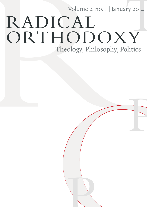Volume 2, no. 1 | January 2014

**ON CONSTRUCTION** 

**PERTINER** 

# Volume 2, no. 1 | Janu<br>
ORTHODON<br>
Theology, Philosophy, 11y 2014<br>T<br>T RADICAL ORTHODOXY Theology, Philosophy, Politics

P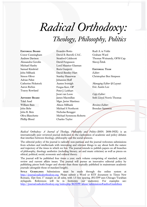## *Radical Orthodoxy: Theology, Philosophy, Politics*

#### **Editorial Board** Conor Cunningham Andrew Davison Alessandra Gerolin Michael Hanby Samuel Kimbriel John Milbank Simon Oliver Adrian Pabst Catherine Pickstock Aaron Riches Tracey Rowland

#### **Advisory Board**

Talal Asad William Bain John Behr John R. Betz Oliva Blanchette Phillip Blond

Evandro Botto David B. Burrell, C.S.C. Stratford Caldecott David Fergusson Lord Maurice Glasman Boris Gunjević David Bentley Hart Stanley Hauerwas Johannes Hoff Austen Ivereigh Fergus Kerr, OP Peter J. Leithart Joost van Loon James Macmillan Mgsr. Javier Martínez Alison Milbank Michael S Northcott Nicholas Rengger Michael Symmons Roberts Charles Taylor

Rudi A. te Velde Graham Ward Thomas Weinandy, OFM Cap. Slavoj Žižek

**Editorial Team** *Editor*: Christopher Ben Simpson

*Managing Editor & Layout*: Eric Austin Lee

*Copy Editor:* Seth Lloyd Norris Thomas

*Reviews Editor*: Brendan Sammon

*Radical Orthodoxy: A Journal of Theology, Philosophy and Politics* (ISSN: 2050-392X) is an internationally peer reviewed journal dedicated to the exploration of academic and policy debates that interface between theology, philosophy and the social sciences.

The editorial policy of the journal is radically non-partisan and the journal welcomes submissions from scholars and intellectuals with interesting and relevant things to say about both the nature and trajectory of the times in which we live. The journal intends to publish papers on all branches of philosophy, theology aesthetics (including literary, art and music criticism) as well as pieces on ethical, political, social, economic and cultural theory.

The journal will be published four times a year; each volume comprising of standard, special, review and current affairs issues. The journal will pursue an innovative editorial policy by publishing pieces both longer and shorter than those typically published in mainstream academic journals (alongside those of standard length).

**STYLE GUIDELINES:** Submissions must be made through the online system at [http://journal.radicalorthodoxy.org.](http://journal.radicalorthodoxy.org/) Please submit a Word or RTF document in Times New Romans, 12pt font, 1" margin on all sides, with 1.5 line spacing. *RO:TPP* uses Chicago/Turabian styleguide. References will be in footnotes (*not* endnotes). For examples see: <http://journal.radicalorthodoxy.org/index.php/ROTPP/about/submissions#authorGuidelines>